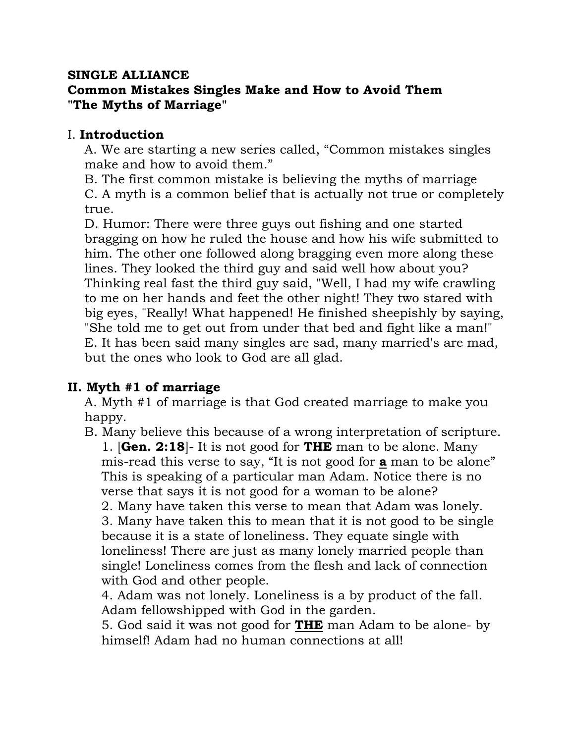## **SINGLE ALLIANCE**

## **Common Mistakes Singles Make and How to Avoid Them "The Myths of Marriage"**

#### I. **Introduction**

A. We are starting a new series called, "Common mistakes singles make and how to avoid them."

B. The first common mistake is believing the myths of marriage C. A myth is a common belief that is actually not true or completely true.

D. Humor: There were three guys out fishing and one started bragging on how he ruled the house and how his wife submitted to him. The other one followed along bragging even more along these lines. They looked the third guy and said well how about you? Thinking real fast the third guy said, "Well, I had my wife crawling to me on her hands and feet the other night! They two stared with big eyes, "Really! What happened! He finished sheepishly by saying, "She told me to get out from under that bed and fight like a man!" E. It has been said many singles are sad, many married's are mad, but the ones who look to God are all glad.

### **II. Myth #1 of marriage**

A. Myth #1 of marriage is that God created marriage to make you happy.

B. Many believe this because of a wrong interpretation of scripture. 1. [**Gen. 2:18**]- It is not good for **THE** man to be alone. Many mis-read this verse to say, "It is not good for **a** man to be alone" This is speaking of a particular man Adam. Notice there is no verse that says it is not good for a woman to be alone?

2. Many have taken this verse to mean that Adam was lonely. 3. Many have taken this to mean that it is not good to be single because it is a state of loneliness. They equate single with loneliness! There are just as many lonely married people than single! Loneliness comes from the flesh and lack of connection with God and other people.

4. Adam was not lonely. Loneliness is a by product of the fall. Adam fellowshipped with God in the garden.

5. God said it was not good for **THE** man Adam to be alone- by himself! Adam had no human connections at all!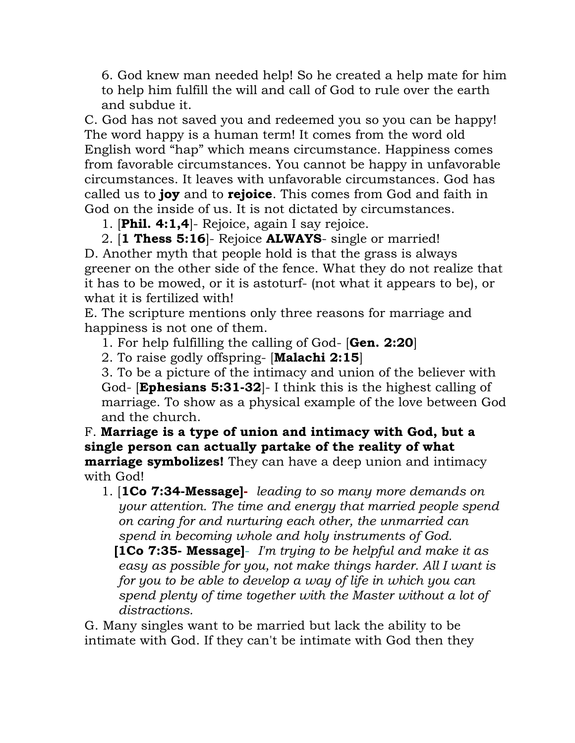6. God knew man needed help! So he created a help mate for him to help him fulfill the will and call of God to rule over the earth and subdue it.

C. God has not saved you and redeemed you so you can be happy! The word happy is a human term! It comes from the word old English word "hap" which means circumstance. Happiness comes from favorable circumstances. You cannot be happy in unfavorable circumstances. It leaves with unfavorable circumstances. God has called us to **joy** and to **rejoice**. This comes from God and faith in God on the inside of us. It is not dictated by circumstances.

1. [**Phil. 4:1,4**]- Rejoice, again I say rejoice.

2. [**1 Thess 5:16**]- Rejoice **ALWAYS**- single or married! D. Another myth that people hold is that the grass is always greener on the other side of the fence. What they do not realize that it has to be mowed, or it is astoturf- (not what it appears to be), or what it is fertilized with!

E. The scripture mentions only three reasons for marriage and happiness is not one of them.

1. For help fulfilling the calling of God- [**Gen. 2:20**]

2. To raise godly offspring- [**Malachi 2:15**]

3. To be a picture of the intimacy and union of the believer with God- [**Ephesians 5:31-32**]- I think this is the highest calling of marriage. To show as a physical example of the love between God and the church.

F. **Marriage is a type of union and intimacy with God, but a single person can actually partake of the reality of what marriage symbolizes!** They can have a deep union and intimacy with God!

1. [**1Co 7:34-Message]-** *leading to so many more demands on your attention. The time and energy that married people spend on caring for and nurturing each other, the unmarried can spend in becoming whole and holy instruments of God.* 

 **[1Co 7:35- Message]**- *I'm trying to be helpful and make it as easy as possible for you, not make things harder. All I want is for you to be able to develop a way of life in which you can spend plenty of time together with the Master without a lot of distractions.* 

G. Many singles want to be married but lack the ability to be intimate with God. If they can't be intimate with God then they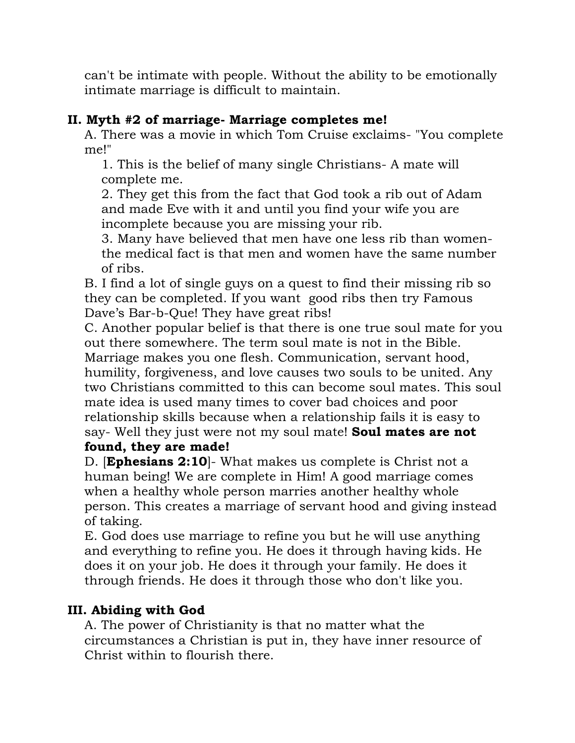can't be intimate with people. Without the ability to be emotionally intimate marriage is difficult to maintain.

# **II. Myth #2 of marriage- Marriage completes me!**

A. There was a movie in which Tom Cruise exclaims- "You complete me!"

1. This is the belief of many single Christians- A mate will complete me.

2. They get this from the fact that God took a rib out of Adam and made Eve with it and until you find your wife you are incomplete because you are missing your rib.

3. Many have believed that men have one less rib than womenthe medical fact is that men and women have the same number of ribs.

B. I find a lot of single guys on a quest to find their missing rib so they can be completed. If you want good ribs then try Famous Dave's Bar-b-Que! They have great ribs!

C. Another popular belief is that there is one true soul mate for you out there somewhere. The term soul mate is not in the Bible. Marriage makes you one flesh. Communication, servant hood, humility, forgiveness, and love causes two souls to be united. Any two Christians committed to this can become soul mates. This soul mate idea is used many times to cover bad choices and poor relationship skills because when a relationship fails it is easy to say- Well they just were not my soul mate! **Soul mates are not found, they are made!** 

D. [**Ephesians 2:10**]- What makes us complete is Christ not a human being! We are complete in Him! A good marriage comes when a healthy whole person marries another healthy whole person. This creates a marriage of servant hood and giving instead of taking.

E. God does use marriage to refine you but he will use anything and everything to refine you. He does it through having kids. He does it on your job. He does it through your family. He does it through friends. He does it through those who don't like you.

# **III. Abiding with God**

A. The power of Christianity is that no matter what the circumstances a Christian is put in, they have inner resource of Christ within to flourish there.